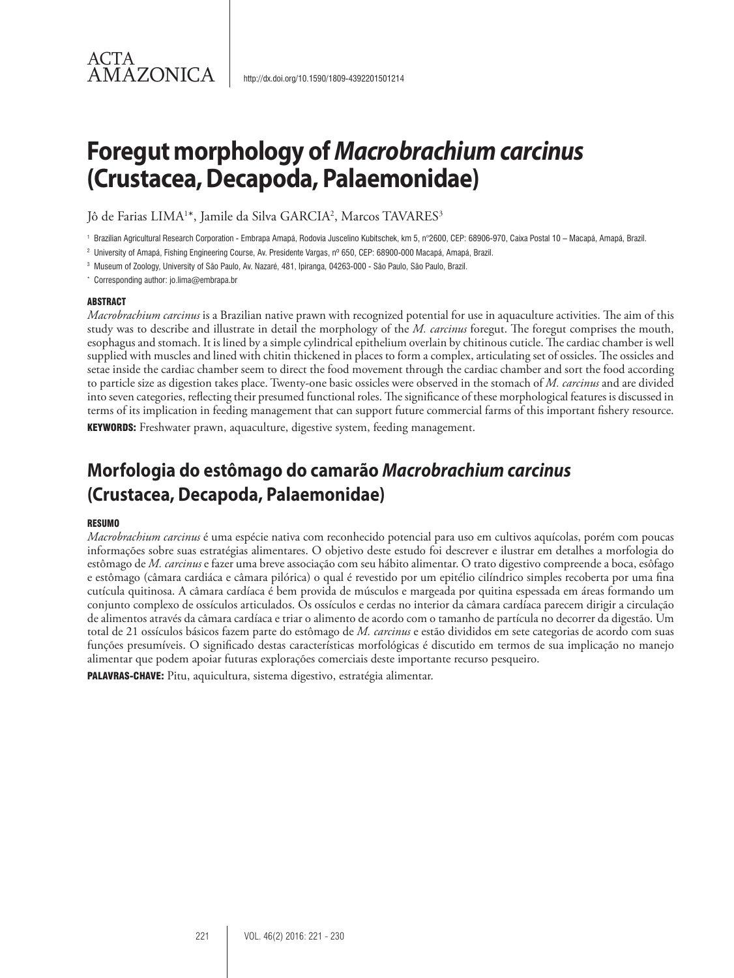# **Foregut morphology of** *Macrobrachium carcinus* **(Crustacea, Decapoda, Palaemonidae)**

Jô de Farias LIMA1\*, Jamile da Silva GARCIA<sup>2</sup>, Marcos TAVARES<sup>3</sup>

1 Brazilian Agricultural Research Corporation - Embrapa Amapá, Rodovia Juscelino Kubitschek, km 5, n°2600, CEP: 68906-970, Caixa Postal 10 – Macapá, Amapá, Brazil.

2 University of Amapá, Fishing Engineering Course, Av. Presidente Vargas, nº 650, CEP: 68900-000 Macapá, Amapá, Brazil.

3 Museum of Zoology, University of São Paulo, Av. Nazaré, 481, Ipiranga, 04263-000 - São Paulo, São Paulo, Brazil.

\* Corresponding author: jo.lima@embrapa.br

#### ABSTRACT

ACTA

AMAZONICA

*Macrobrachium carcinus* is a Brazilian native prawn with recognized potential for use in aquaculture activities. The aim of this study was to describe and illustrate in detail the morphology of the *M. carcinus* foregut. The foregut comprises the mouth, esophagus and stomach. It is lined by a simple cylindrical epithelium overlain by chitinous cuticle. The cardiac chamber is well supplied with muscles and lined with chitin thickened in places to form a complex, articulating set of ossicles. The ossicles and setae inside the cardiac chamber seem to direct the food movement through the cardiac chamber and sort the food according to particle size as digestion takes place. Twenty-one basic ossicles were observed in the stomach of *M. carcinus* and are divided into seven categories, reflecting their presumed functional roles. The significance of these morphological features is discussed in terms of its implication in feeding management that can support future commercial farms of this important fishery resource.

KEYWORDS: Freshwater prawn, aquaculture, digestive system, feeding management.

## **Morfologia do estômago do camarão** *Macrobrachium carcinus* **(Crustacea, Decapoda, Palaemonidae)**

#### **RESUMO**

*Macrobrachium carcinus* é uma espécie nativa com reconhecido potencial para uso em cultivos aquícolas, porém com poucas informações sobre suas estratégias alimentares. O objetivo deste estudo foi descrever e ilustrar em detalhes a morfologia do estômago de *M. carcinus* e fazer uma breve associação com seu hábito alimentar. O trato digestivo compreende a boca, esôfago e estômago (câmara cardiáca e câmara pilórica) o qual é revestido por um epitélio cilíndrico simples recoberta por uma fina cutícula quitinosa. A câmara cardíaca é bem provida de músculos e margeada por quitina espessada em áreas formando um conjunto complexo de ossículos articulados. Os ossículos e cerdas no interior da câmara cardíaca parecem dirigir a circulação de alimentos através da câmara cardíaca e triar o alimento de acordo com o tamanho de partícula no decorrer da digestão. Um total de 21 ossículos básicos fazem parte do estômago de *M. carcinus* e estão divididos em sete categorias de acordo com suas funções presumíveis. O significado destas características morfológicas é discutido em termos de sua implicação no manejo alimentar que podem apoiar futuras explorações comerciais deste importante recurso pesqueiro.

PALAVRAS-CHAVE: Pitu, aquicultura, sistema digestivo, estratégia alimentar.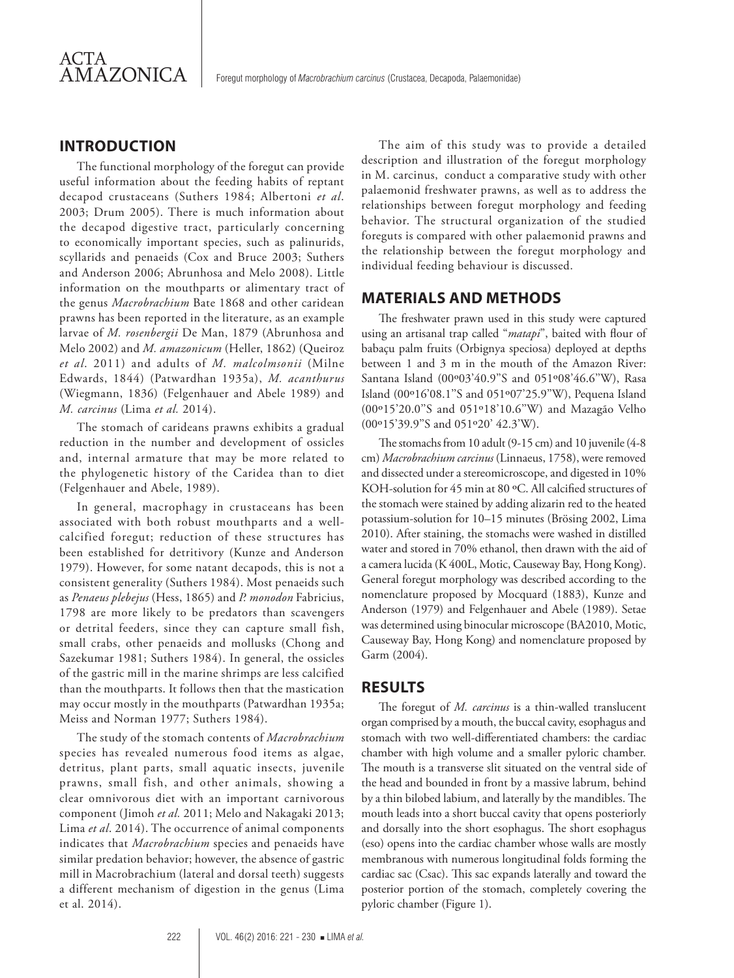## **INTRODUCTION**

The functional morphology of the foregut can provide useful information about the feeding habits of reptant decapod crustaceans (Suthers 1984; Albertoni *et al*. 2003; Drum 2005). There is much information about the decapod digestive tract, particularly concerning to economically important species, such as palinurids, scyllarids and penaeids (Cox and Bruce 2003; Suthers and Anderson 2006; Abrunhosa and Melo 2008). Little information on the mouthparts or alimentary tract of the genus *Macrobrachium* Bate 1868 and other caridean prawns has been reported in the literature, as an example larvae of *M. rosenbergii* De Man, 1879 (Abrunhosa and Melo 2002) and *M. amazonicum* (Heller, 1862) (Queiroz *et al*. 2011) and adults of *M. malcolmsonii* (Milne Edwards, 1844) (Patwardhan 1935a), *M. acanthurus*  (Wiegmann, 1836) (Felgenhauer and Abele 1989) and *M. carcinus* (Lima *et al.* 2014).

The stomach of carideans prawns exhibits a gradual reduction in the number and development of ossicles and, internal armature that may be more related to the phylogenetic history of the Caridea than to diet (Felgenhauer and Abele, 1989).

In general, macrophagy in crustaceans has been associated with both robust mouthparts and a wellcalcified foregut; reduction of these structures has been established for detritivory (Kunze and Anderson 1979). However, for some natant decapods, this is not a consistent generality (Suthers 1984). Most penaeids such as *Penaeus plebejus* (Hess, 1865) and *P. monodon* Fabricius, 1798 are more likely to be predators than scavengers or detrital feeders, since they can capture small fish, small crabs, other penaeids and mollusks (Chong and Sazekumar 1981; Suthers 1984). In general, the ossicles of the gastric mill in the marine shrimps are less calcified than the mouthparts. It follows then that the mastication may occur mostly in the mouthparts (Patwardhan 1935a; Meiss and Norman 1977; Suthers 1984).

The study of the stomach contents of *Macrobrachium* species has revealed numerous food items as algae, detritus, plant parts, small aquatic insects, juvenile prawns, small fish, and other animals, showing a clear omnivorous diet with an important carnivorous component (Jimoh *et al.* 2011; Melo and Nakagaki 2013; Lima *et al*. 2014). The occurrence of animal components indicates that *Macrobrachium* species and penaeids have similar predation behavior; however, the absence of gastric mill in Macrobrachium (lateral and dorsal teeth) suggests a different mechanism of digestion in the genus (Lima et al. 2014).

The aim of this study was to provide a detailed description and illustration of the foregut morphology in M. carcinus, conduct a comparative study with other palaemonid freshwater prawns, as well as to address the relationships between foregut morphology and feeding behavior. The structural organization of the studied foreguts is compared with other palaemonid prawns and the relationship between the foregut morphology and individual feeding behaviour is discussed.

## **MATERIALS AND METHODS**

The freshwater prawn used in this study were captured using an artisanal trap called "*matapi*", baited with flour of babaçu palm fruits (Orbignya speciosa) deployed at depths between 1 and 3 m in the mouth of the Amazon River: Santana Island (00º03'40.9''S and 051º08'46.6''W), Rasa Island (00º16'08.1''S and 051º07'25.9''W), Pequena Island (00º15'20.0''S and 051º18'10.6''W) and Mazagão Velho (00º15'39.9''S and 051º20' 42.3'W).

The stomachs from 10 adult (9-15 cm) and 10 juvenile (4-8 cm) *Macrobrachium carcinus* (Linnaeus, 1758), were removed and dissected under a stereomicroscope, and digested in 10% KOH-solution for 45 min at 80 ºC. All calcified structures of the stomach were stained by adding alizarin red to the heated potassium-solution for 10–15 minutes (Brösing 2002, Lima 2010). After staining, the stomachs were washed in distilled water and stored in 70% ethanol, then drawn with the aid of a camera lucida (K 400L, Motic, Causeway Bay, Hong Kong). General foregut morphology was described according to the nomenclature proposed by Mocquard (1883), Kunze and Anderson (1979) and Felgenhauer and Abele (1989). Setae was determined using binocular microscope (BA2010, Motic, Causeway Bay, Hong Kong) and nomenclature proposed by Garm (2004).

## **RESULTS**

The foregut of *M. carcinus* is a thin-walled translucent organ comprised by a mouth, the buccal cavity, esophagus and stomach with two well-differentiated chambers: the cardiac chamber with high volume and a smaller pyloric chamber. The mouth is a transverse slit situated on the ventral side of the head and bounded in front by a massive labrum, behind by a thin bilobed labium, and laterally by the mandibles. The mouth leads into a short buccal cavity that opens posteriorly and dorsally into the short esophagus. The short esophagus (eso) opens into the cardiac chamber whose walls are mostly membranous with numerous longitudinal folds forming the cardiac sac (Csac). This sac expands laterally and toward the posterior portion of the stomach, completely covering the pyloric chamber (Figure 1).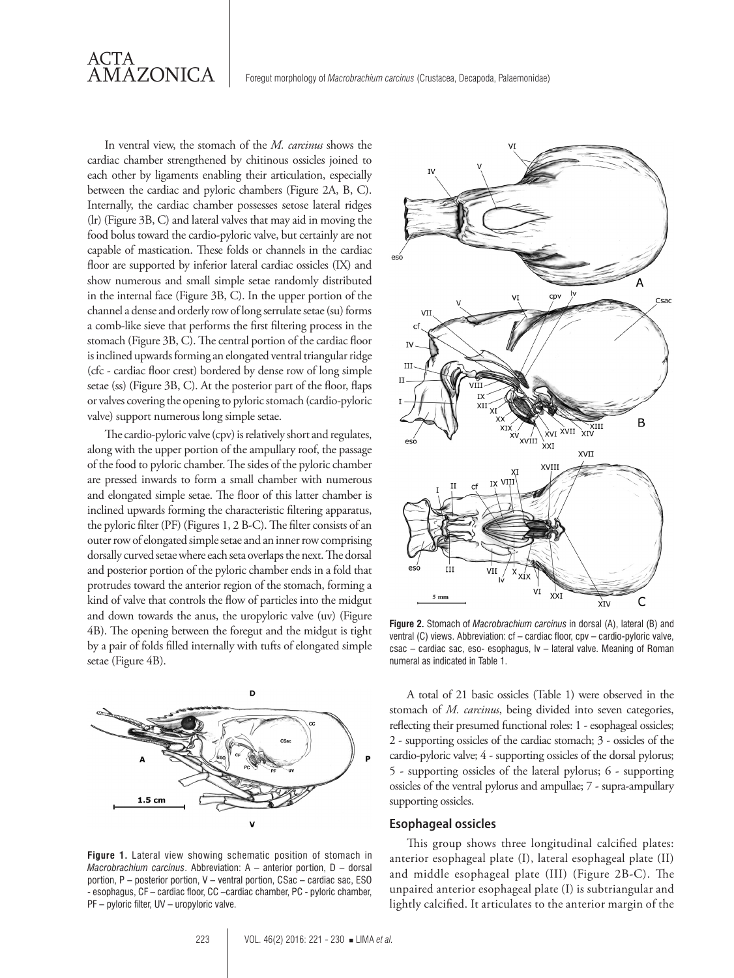

In ventral view, the stomach of the *M. carcinus* shows the cardiac chamber strengthened by chitinous ossicles joined to each other by ligaments enabling their articulation, especially between the cardiac and pyloric chambers (Figure 2A, B, C). Internally, the cardiac chamber possesses setose lateral ridges (lr) (Figure 3B, C) and lateral valves that may aid in moving the food bolus toward the cardio-pyloric valve, but certainly are not capable of mastication. These folds or channels in the cardiac floor are supported by inferior lateral cardiac ossicles (IX) and show numerous and small simple setae randomly distributed in the internal face (Figure 3B, C). In the upper portion of the channel a dense and orderly row of long serrulate setae (su) forms a comb-like sieve that performs the first filtering process in the stomach (Figure 3B, C). The central portion of the cardiac floor is inclined upwards forming an elongated ventral triangular ridge (cfc - cardiac floor crest) bordered by dense row of long simple setae (ss) (Figure 3B, C). At the posterior part of the floor, flaps or valves covering the opening to pyloric stomach (cardio-pyloric valve) support numerous long simple setae.

The cardio-pyloric valve (cpv) is relatively short and regulates, along with the upper portion of the ampullary roof, the passage of the food to pyloric chamber. The sides of the pyloric chamber are pressed inwards to form a small chamber with numerous and elongated simple setae. The floor of this latter chamber is inclined upwards forming the characteristic filtering apparatus, the pyloric filter (PF) (Figures 1, 2 B-C). The filter consists of an outer row of elongated simple setae and an inner row comprising dorsally curved setae where each seta overlaps the next. The dorsal and posterior portion of the pyloric chamber ends in a fold that protrudes toward the anterior region of the stomach, forming a kind of valve that controls the flow of particles into the midgut and down towards the anus, the uropyloric valve (uv) (Figure 4B). The opening between the foregut and the midgut is tight by a pair of folds filled internally with tufts of elongated simple setae (Figure 4B).



**Figure 1.** Lateral view showing schematic position of stomach in *Macrobrachium carcinus*. Abbreviation: A – anterior portion, D – dorsal portion, P – posterior portion, V – ventral portion, CSac – cardiac sac, ESO - esophagus, CF – cardiac floor, CC –cardiac chamber, PC - pyloric chamber, PF – pyloric filter, UV – uropyloric valve.



**Figure 2.** Stomach of *Macrobrachium carcinus* in dorsal (A), lateral (B) and ventral (C) views. Abbreviation: cf – cardiac floor, cpv – cardio-pyloric valve, csac – cardiac sac, eso- esophagus, lv – lateral valve. Meaning of Roman numeral as indicated in Table 1.

A total of 21 basic ossicles (Table 1) were observed in the stomach of *M. carcinus*, being divided into seven categories, reflecting their presumed functional roles: 1 - esophageal ossicles; 2 - supporting ossicles of the cardiac stomach; 3 - ossicles of the cardio-pyloric valve; 4 - supporting ossicles of the dorsal pylorus; 5 - supporting ossicles of the lateral pylorus; 6 - supporting ossicles of the ventral pylorus and ampullae; 7 - supra-ampullary supporting ossicles.

#### **Esophageal ossicles**

This group shows three longitudinal calcified plates: anterior esophageal plate (I), lateral esophageal plate (II) and middle esophageal plate (III) (Figure 2B-C). The unpaired anterior esophageal plate (I) is subtriangular and lightly calcified. It articulates to the anterior margin of the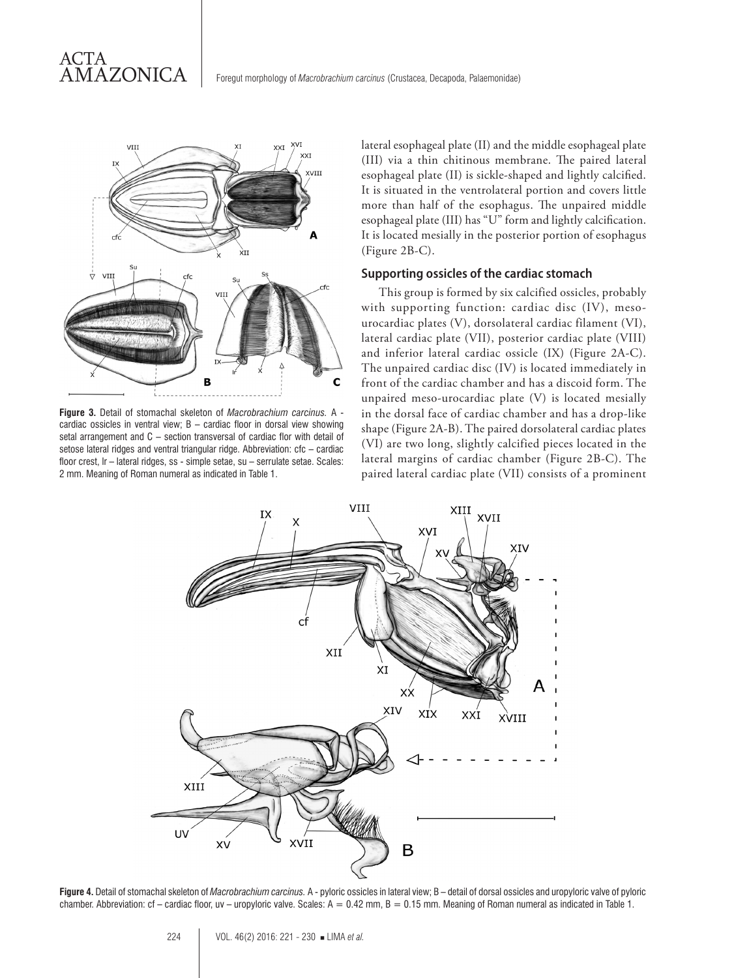

**Figure 3.** Detail of stomachal skeleton of *Macrobrachium carcinus.* A cardiac ossicles in ventral view; B – cardiac floor in dorsal view showing setal arrangement and C – section transversal of cardiac flor with detail of setose lateral ridges and ventral triangular ridge. Abbreviation: cfc – cardiac floor crest, lr – lateral ridges, ss - simple setae, su – serrulate setae. Scales: 2 mm. Meaning of Roman numeral as indicated in Table 1.

lateral esophageal plate (II) and the middle esophageal plate (III) via a thin chitinous membrane. The paired lateral esophageal plate (II) is sickle-shaped and lightly calcified. It is situated in the ventrolateral portion and covers little more than half of the esophagus. The unpaired middle esophageal plate (III) has "U" form and lightly calcification. It is located mesially in the posterior portion of esophagus (Figure 2B-C).

#### **Supporting ossicles of the cardiac stomach**

This group is formed by six calcified ossicles, probably with supporting function: cardiac disc (IV), mesourocardiac plates (V), dorsolateral cardiac filament (VI), lateral cardiac plate (VII), posterior cardiac plate (VIII) and inferior lateral cardiac ossicle (IX) (Figure 2A-C). The unpaired cardiac disc (IV) is located immediately in front of the cardiac chamber and has a discoid form. The unpaired meso-urocardiac plate (V) is located mesially in the dorsal face of cardiac chamber and has a drop-like shape (Figure 2A-B). The paired dorsolateral cardiac plates (VI) are two long, slightly calcified pieces located in the lateral margins of cardiac chamber (Figure 2B-C). The paired lateral cardiac plate (VII) consists of a prominent



**Figure 4.** Detail of stomachal skeleton of *Macrobrachium carcinus.* A - pyloric ossicles in lateral view; B – detail of dorsal ossicles and uropyloric valve of pyloric chamber. Abbreviation: cf – cardiac floor, uv – uropyloric valve. Scales:  $A = 0.42$  mm,  $B = 0.15$  mm. Meaning of Roman numeral as indicated in Table 1.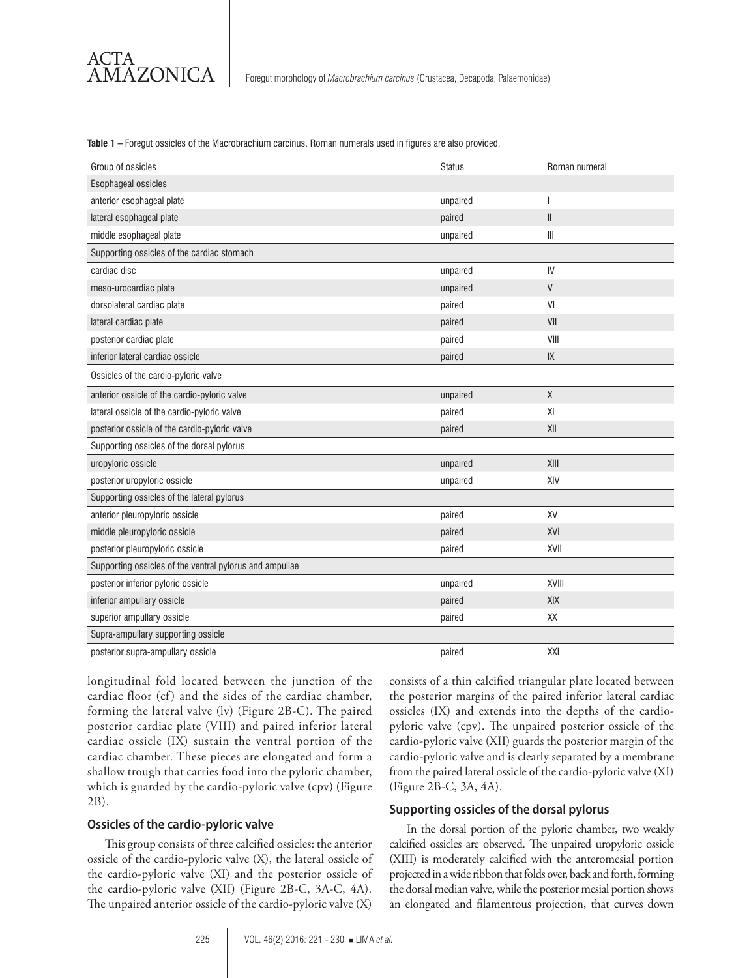| Group of ossicles                                       | <b>Status</b> | Roman numeral |
|---------------------------------------------------------|---------------|---------------|
| Esophageal ossicles                                     |               |               |
| anterior esophageal plate                               | unpaired      |               |
| lateral esophageal plate                                | paired        | $\mathbb{I}$  |
| middle esophageal plate                                 | unpaired      | $\parallel$   |
| Supporting ossicles of the cardiac stomach              |               |               |
| cardiac disc                                            | unpaired      | IV            |
| meso-urocardiac plate                                   | unpaired      | $\vee$        |
| dorsolateral cardiac plate                              | paired        | VI            |
| lateral cardiac plate                                   | paired        | VII           |
| posterior cardiac plate                                 | paired        | VIII          |
| inferior lateral cardiac ossicle                        | paired        | IX            |
| Ossicles of the cardio-pyloric valve                    |               |               |
| anterior ossicle of the cardio-pyloric valve            | unpaired      | $\mathsf{X}$  |
| lateral ossicle of the cardio-pyloric valve             | paired        | XI            |
| posterior ossicle of the cardio-pyloric valve           | paired        | XII           |
| Supporting ossicles of the dorsal pylorus               |               |               |
| uropyloric ossicle                                      | unpaired      | XIII          |
| posterior uropyloric ossicle                            | unpaired      | XIV           |
| Supporting ossicles of the lateral pylorus              |               |               |
| anterior pleuropyloric ossicle                          | paired        | XV            |
| middle pleuropyloric ossicle                            | paired        | XVI           |
| posterior pleuropyloric ossicle                         | paired        | XVII          |
| Supporting ossicles of the ventral pylorus and ampullae |               |               |
| posterior inferior pyloric ossicle                      | unpaired      | XVIII         |
| inferior ampullary ossicle                              | paired        | <b>XIX</b>    |
| superior ampullary ossicle                              | paired        | XX            |
| Supra-ampullary supporting ossicle                      |               |               |
| posterior supra-ampullary ossicle                       | paired        | XXI           |

**Table 1 –** Foregut ossicles of the Macrobrachium carcinus. Roman numerals used in figures are also provided.

longitudinal fold located between the junction of the cardiac floor (cf) and the sides of the cardiac chamber, forming the lateral valve (lv) (Figure 2B-C). The paired posterior cardiac plate (VIII) and paired inferior lateral cardiac ossicle (IX) sustain the ventral portion of the cardiac chamber. These pieces are elongated and form a shallow trough that carries food into the pyloric chamber, which is guarded by the cardio-pyloric valve (cpv) (Figure 2B).

#### **Ossicles of the cardio-pyloric valve**

This group consists of three calcified ossicles: the anterior ossicle of the cardio-pyloric valve (X), the lateral ossicle of the cardio-pyloric valve (XI) and the posterior ossicle of the cardio-pyloric valve (XII) (Figure 2B-C, 3A-C, 4A). The unpaired anterior ossicle of the cardio-pyloric valve (X)

consists of a thin calcified triangular plate located between the posterior margins of the paired inferior lateral cardiac ossicles (IX) and extends into the depths of the cardiopyloric valve (cpv). The unpaired posterior ossicle of the cardio-pyloric valve (XII) guards the posterior margin of the cardio-pyloric valve and is clearly separated by a membrane from the paired lateral ossicle of the cardio-pyloric valve (XI) (Figure 2B-C, 3A, 4A).

#### **Supporting ossicles of the dorsal pylorus**

In the dorsal portion of the pyloric chamber, two weakly calcified ossicles are observed. The unpaired uropyloric ossicle (XIII) is moderately calcified with the anteromesial portion projected in a wide ribbon that folds over, back and forth, forming the dorsal median valve, while the posterior mesial portion shows an elongated and filamentous projection, that curves down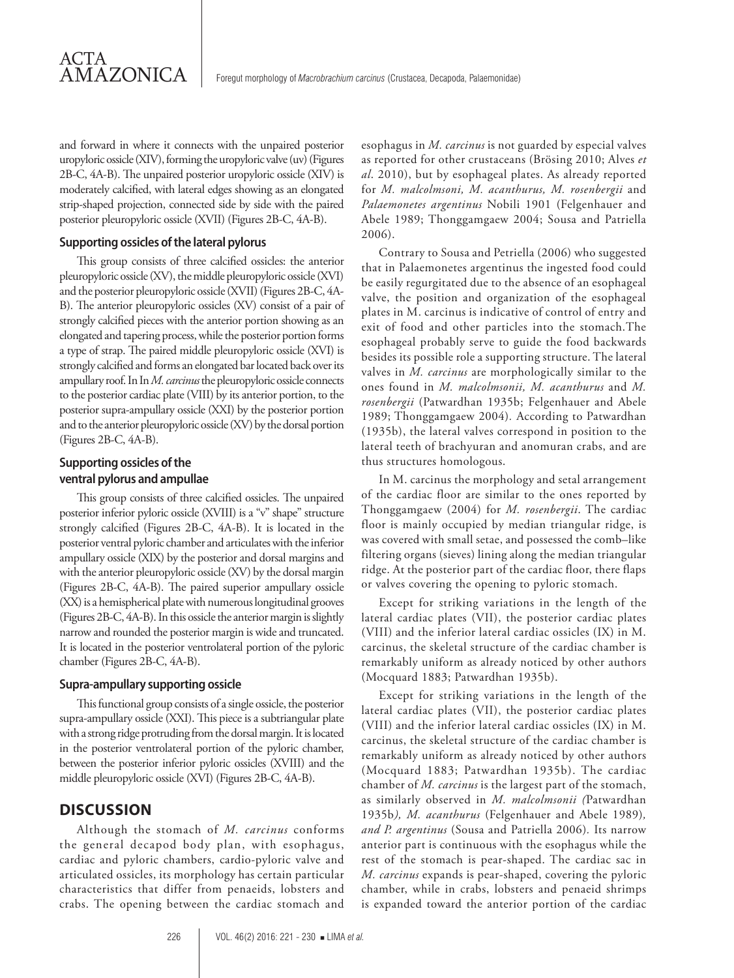and forward in where it connects with the unpaired posterior uropyloric ossicle (XIV), forming the uropyloric valve (uv) (Figures 2B-C, 4A-B). The unpaired posterior uropyloric ossicle (XIV) is moderately calcified, with lateral edges showing as an elongated strip-shaped projection, connected side by side with the paired posterior pleuropyloric ossicle (XVII) (Figures 2B-C, 4A-B).

#### **Supporting ossicles of the lateral pylorus**

This group consists of three calcified ossicles: the anterior pleuropyloric ossicle (XV), the middle pleuropyloric ossicle (XVI) and the posterior pleuropyloric ossicle (XVII) (Figures 2B-C, 4A-B). The anterior pleuropyloric ossicles (XV) consist of a pair of strongly calcified pieces with the anterior portion showing as an elongated and tapering process, while the posterior portion forms a type of strap. The paired middle pleuropyloric ossicle (XVI) is strongly calcified and forms an elongated bar located back over its ampullary roof. In In *M. carcinus* the pleuropyloric ossicle connects to the posterior cardiac plate (VIII) by its anterior portion, to the posterior supra-ampullary ossicle (XXI) by the posterior portion and to the anterior pleuropyloric ossicle (XV) by the dorsal portion (Figures 2B-C, 4A-B).

## **Supporting ossicles of the ventral pylorus and ampullae**

This group consists of three calcified ossicles. The unpaired posterior inferior pyloric ossicle (XVIII) is a "v" shape" structure strongly calcified (Figures 2B-C, 4A-B). It is located in the posterior ventral pyloric chamber and articulates with the inferior ampullary ossicle (XIX) by the posterior and dorsal margins and with the anterior pleuropyloric ossicle (XV) by the dorsal margin (Figures 2B-C, 4A-B). The paired superior ampullary ossicle (XX) is a hemispherical plate with numerous longitudinal grooves (Figures 2B-C, 4A-B). In this ossicle the anterior margin is slightly narrow and rounded the posterior margin is wide and truncated. It is located in the posterior ventrolateral portion of the pyloric chamber (Figures 2B-C, 4A-B).

#### **Supra-ampullary supporting ossicle**

This functional group consists of a single ossicle, the posterior supra-ampullary ossicle (XXI). This piece is a subtriangular plate with a strong ridge protruding from the dorsal margin. It is located in the posterior ventrolateral portion of the pyloric chamber, between the posterior inferior pyloric ossicles (XVIII) and the middle pleuropyloric ossicle (XVI) (Figures 2B-C, 4A-B).

## **DISCUSSION**

Although the stomach of *M. carcinus* conforms the general decapod body plan, with esophagus, cardiac and pyloric chambers, cardio-pyloric valve and articulated ossicles, its morphology has certain particular characteristics that differ from penaeids, lobsters and crabs. The opening between the cardiac stomach and esophagus in *M. carcinus* is not guarded by especial valves as reported for other crustaceans (Brösing 2010; Alves *et al*. 2010), but by esophageal plates. As already reported for *M. malcolmsoni, M. acanthurus, M. rosenbergii* and *Palaemonetes argentinus* Nobili 1901 (Felgenhauer and Abele 1989; Thonggamgaew 2004; Sousa and Patriella 2006).

Contrary to Sousa and Petriella (2006) who suggested that in Palaemonetes argentinus the ingested food could be easily regurgitated due to the absence of an esophageal valve, the position and organization of the esophageal plates in M. carcinus is indicative of control of entry and exit of food and other particles into the stomach.The esophageal probably serve to guide the food backwards besides its possible role a supporting structure. The lateral valves in *M. carcinus* are morphologically similar to the ones found in *M. malcolmsonii, M. acanthurus* and *M. rosenbergii* (Patwardhan 1935b; Felgenhauer and Abele 1989; Thonggamgaew 2004)*.* According to Patwardhan (1935b), the lateral valves correspond in position to the lateral teeth of brachyuran and anomuran crabs, and are thus structures homologous.

In M. carcinus the morphology and setal arrangement of the cardiac floor are similar to the ones reported by Thonggamgaew (2004) for *M. rosenbergii*. The cardiac floor is mainly occupied by median triangular ridge, is was covered with small setae, and possessed the comb–like filtering organs (sieves) lining along the median triangular ridge. At the posterior part of the cardiac floor, there flaps or valves covering the opening to pyloric stomach.

Except for striking variations in the length of the lateral cardiac plates (VII), the posterior cardiac plates (VIII) and the inferior lateral cardiac ossicles (IX) in M. carcinus, the skeletal structure of the cardiac chamber is remarkably uniform as already noticed by other authors (Mocquard 1883; Patwardhan 1935b).

Except for striking variations in the length of the lateral cardiac plates (VII), the posterior cardiac plates (VIII) and the inferior lateral cardiac ossicles (IX) in M. carcinus, the skeletal structure of the cardiac chamber is remarkably uniform as already noticed by other authors (Mocquard 1883; Patwardhan 1935b). The cardiac chamber of *M. carcinus* is the largest part of the stomach, as similarly observed in *M. malcolmsonii (*Patwardhan 1935b*), M. acanthurus* (Felgenhauer and Abele 1989)*, and P. argentinus* (Sousa and Patriella 2006)*.* Its narrow anterior part is continuous with the esophagus while the rest of the stomach is pear-shaped. The cardiac sac in *M. carcinus* expands is pear-shaped, covering the pyloric chamber, while in crabs, lobsters and penaeid shrimps is expanded toward the anterior portion of the cardiac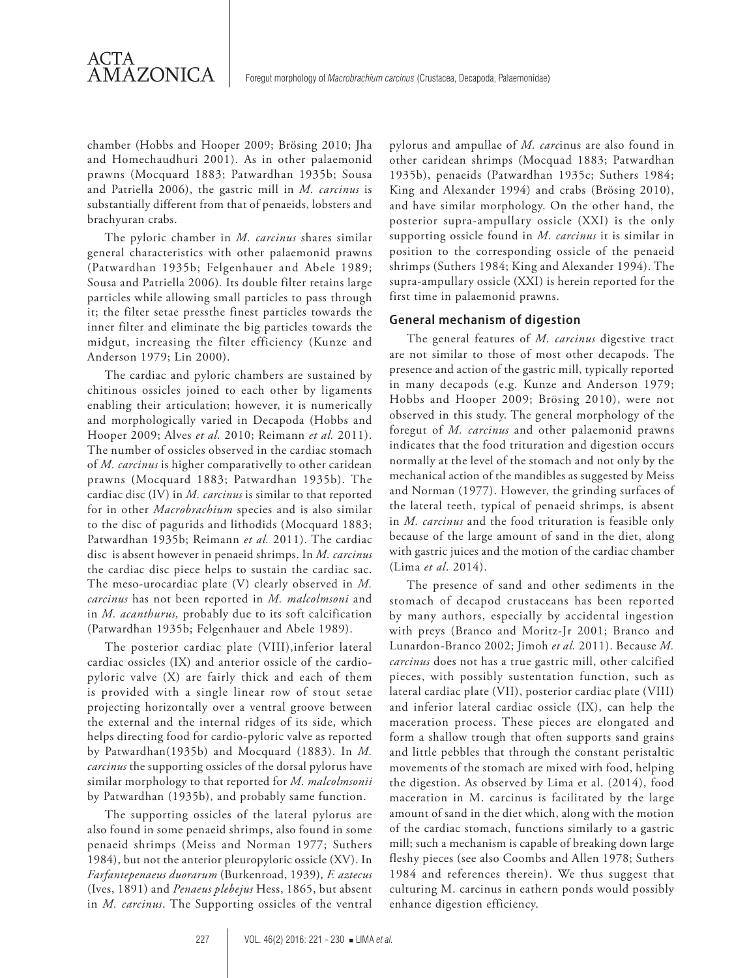chamber (Hobbs and Hooper 2009; Brösing 2010; Jha and Homechaudhuri 2001). As in other palaemonid prawns (Mocquard 1883; Patwardhan 1935b; Sousa and Patriella 2006), the gastric mill in *M. carcinus* is substantially different from that of penaeids, lobsters and brachyuran crabs.

ACTA

AMAZONICA

The pyloric chamber in *M. carcinus* shares similar general characteristics with other palaemonid prawns (Patwardhan 1935b; Felgenhauer and Abele 1989; Sousa and Patriella 2006)*.* Its double filter retains large particles while allowing small particles to pass through it; the filter setae pressthe finest particles towards the inner filter and eliminate the big particles towards the midgut, increasing the filter efficiency (Kunze and Anderson 1979; Lin 2000).

The cardiac and pyloric chambers are sustained by chitinous ossicles joined to each other by ligaments enabling their articulation; however, it is numerically and morphologically varied in Decapoda (Hobbs and Hooper 2009; Alves *et al.* 2010; Reimann *et al.* 2011). The number of ossicles observed in the cardiac stomach of *M. carcinus* is higher comparativelly to other caridean prawns (Mocquard 1883; Patwardhan 1935b). The cardiac disc (IV) in *M. carcinus* is similar to that reported for in other *Macrobrachium* species and is also similar to the disc of pagurids and lithodids (Mocquard 1883; Patwardhan 1935b; Reimann *et al.* 2011). The cardiac disc is absent however in penaeid shrimps. In *M. carcinus* the cardiac disc piece helps to sustain the cardiac sac. The meso-urocardiac plate (V) clearly observed in *M. carcinus* has not been reported in *M. malcolmsoni* and in *M. acanthurus,* probably due to its soft calcification (Patwardhan 1935b; Felgenhauer and Abele 1989).

The posterior cardiac plate (VIII),inferior lateral cardiac ossicles (IX) and anterior ossicle of the cardiopyloric valve (X) are fairly thick and each of them is provided with a single linear row of stout setae projecting horizontally over a ventral groove between the external and the internal ridges of its side, which helps directing food for cardio-pyloric valve as reported by Patwardhan(1935b) and Mocquard (1883). In *M. carcinus* the supporting ossicles of the dorsal pylorus have similar morphology to that reported for *M. malcolmsonii* by Patwardhan (1935b), and probably same function.

The supporting ossicles of the lateral pylorus are also found in some penaeid shrimps, also found in some penaeid shrimps (Meiss and Norman 1977; Suthers 1984), but not the anterior pleuropyloric ossicle (XV). In *Farfantepenaeus duorarum* (Burkenroad, 1939)*, F. aztecus* (Ives, 1891) and *Penaeus plebejus* Hess, 1865, but absent in *M. carcinus*. The Supporting ossicles of the ventral

pylorus and ampullae of *M. carc*inus are also found in other caridean shrimps (Mocquad 1883; Patwardhan 1935b), penaeids (Patwardhan 1935c; Suthers 1984; King and Alexander 1994) and crabs (Brösing 2010), and have similar morphology. On the other hand, the posterior supra-ampullary ossicle (XXI) is the only supporting ossicle found in *M. carcinus* it is similar in position to the corresponding ossicle of the penaeid shrimps (Suthers 1984; King and Alexander 1994). The supra-ampullary ossicle (XXI) is herein reported for the first time in palaemonid prawns.

#### **General mechanism of digestion**

The general features of *M. carcinus* digestive tract are not similar to those of most other decapods. The presence and action of the gastric mill, typically reported in many decapods (e.g. Kunze and Anderson 1979; Hobbs and Hooper 2009; Brösing 2010), were not observed in this study. The general morphology of the foregut of *M. carcinus* and other palaemonid prawns indicates that the food trituration and digestion occurs normally at the level of the stomach and not only by the mechanical action of the mandibles as suggested by Meiss and Norman (1977). However, the grinding surfaces of the lateral teeth, typical of penaeid shrimps, is absent in *M. carcinus* and the food trituration is feasible only because of the large amount of sand in the diet, along with gastric juices and the motion of the cardiac chamber (Lima *et al*. 2014).

The presence of sand and other sediments in the stomach of decapod crustaceans has been reported by many authors, especially by accidental ingestion with preys (Branco and Moritz-Jr 2001; Branco and Lunardon-Branco 2002; Jimoh *et al.* 2011). Because *M. carcinus* does not has a true gastric mill, other calcified pieces, with possibly sustentation function, such as lateral cardiac plate (VII), posterior cardiac plate (VIII) and inferior lateral cardiac ossicle (IX), can help the maceration process. These pieces are elongated and form a shallow trough that often supports sand grains and little pebbles that through the constant peristaltic movements of the stomach are mixed with food, helping the digestion. As observed by Lima et al. (2014), food maceration in M. carcinus is facilitated by the large amount of sand in the diet which, along with the motion of the cardiac stomach, functions similarly to a gastric mill; such a mechanism is capable of breaking down large fleshy pieces (see also Coombs and Allen 1978; Suthers 1984 and references therein). We thus suggest that culturing M. carcinus in eathern ponds would possibly enhance digestion efficiency.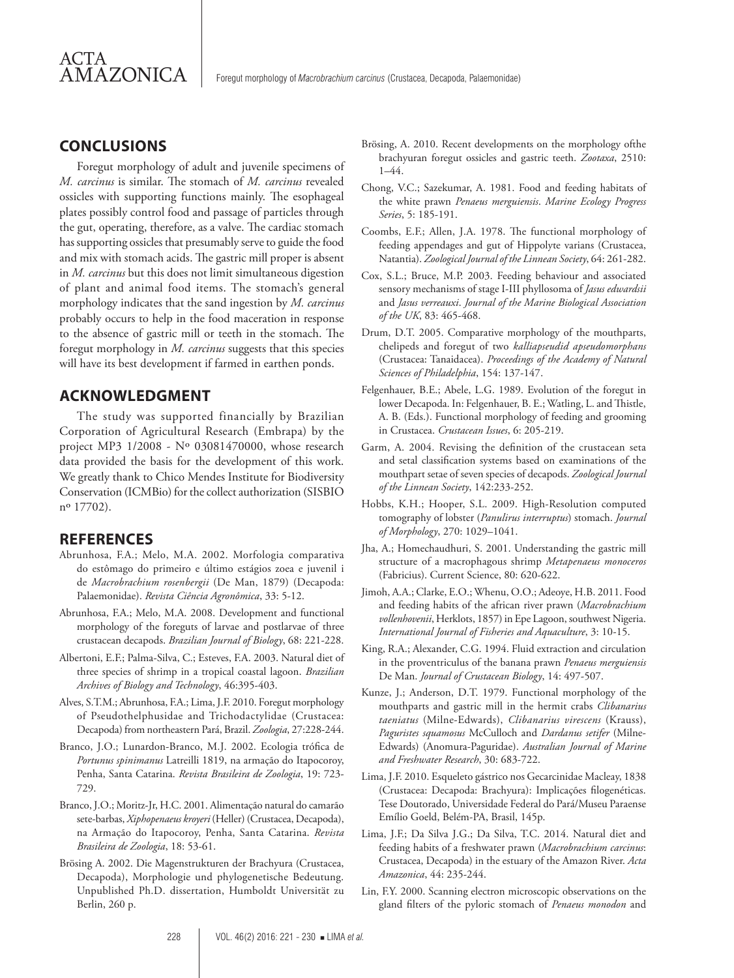## **CONCLUSIONS**

Foregut morphology of adult and juvenile specimens of *M. carcinus* is similar. The stomach of *M. carcinus* revealed ossicles with supporting functions mainly. The esophageal plates possibly control food and passage of particles through the gut, operating, therefore, as a valve. The cardiac stomach has supporting ossicles that presumably serve to guide the food and mix with stomach acids. The gastric mill proper is absent in *M. carcinus* but this does not limit simultaneous digestion of plant and animal food items. The stomach's general morphology indicates that the sand ingestion by *M. carcinus* probably occurs to help in the food maceration in response to the absence of gastric mill or teeth in the stomach. The foregut morphology in *M. carcinus* suggests that this species will have its best development if farmed in earthen ponds.

## **ACKNOWLEDGMENT**

The study was supported financially by Brazilian Corporation of Agricultural Research (Embrapa) by the project MP3 1/2008 - Nº 03081470000, whose research data provided the basis for the development of this work. We greatly thank to Chico Mendes Institute for Biodiversity Conservation (ICMBio) for the collect authorization (SISBIO nº 17702).

## **REFERENCES**

- Abrunhosa, F.A.; Melo, M.A. 2002. Morfologia comparativa do estômago do primeiro e último estágios zoea e juvenil i de *Macrobrachium rosenbergii* (De Man, 1879) (Decapoda: Palaemonidae). *Revista Ciência Agronômica*, 33: 5-12.
- Abrunhosa, F.A.; Melo, M.A. 2008. Development and functional morphology of the foreguts of larvae and postlarvae of three crustacean decapods. *Brazilian Journal of Biology*, 68: 221-228.
- Albertoni, E.F.; Palma-Silva, C.; Esteves, F.A. 2003. Natural diet of three species of shrimp in a tropical coastal lagoon. *Brazilian Archives of Biology and Technology*, 46:395-403.
- Alves, S.T.M.; Abrunhosa, F.A.; Lima, J.F. 2010. Foregut morphology of Pseudothelphusidae and Trichodactylidae (Crustacea: Decapoda) from northeastern Pará, Brazil. *Zoologia*, 27:228-244.
- Branco, J.O.; Lunardon-Branco, M.J. 2002. Ecologia trófica de *Portunus spinimanus* Latreilli 1819, na armação do Itapocoroy, Penha, Santa Catarina. *Revista Brasileira de Zoologia*, 19: 723- 729.
- Branco, J.O.; Moritz-Jr, H.C. 2001. Alimentação natural do camarão sete-barbas, *Xiphopenaeus kroyeri* (Heller) (Crustacea, Decapoda), na Armação do Itapocoroy, Penha, Santa Catarina. *Revista Brasileira de Zoologia*, 18: 53-61.
- Brösing A. 2002. Die Magenstrukturen der Brachyura (Crustacea, Decapoda), Morphologie und phylogenetische Bedeutung. Unpublished Ph.D. dissertation, Humboldt Universität zu Berlin, 260 p.
- Brösing, A. 2010. Recent developments on the morphology ofthe brachyuran foregut ossicles and gastric teeth. *Zootaxa*, 2510: 1–44.
- Chong, V.C.; Sazekumar, A. 1981. Food and feeding habitats of the white prawn *Penaeus merguiensis*. *Marine Ecology Progress Series*, 5: 185-191.
- Coombs, E.F.; Allen, J.A. 1978. The functional morphology of feeding appendages and gut of Hippolyte varians (Crustacea, Natantia). *Zoological Journal of the Linnean Society*, 64: 261-282.
- Cox, S.L.; Bruce, M.P. 2003. Feeding behaviour and associated sensory mechanisms of stage I-III phyllosoma of *Jasus edwardsii* and *Jasus verreauxi*. *Journal of the Marine Biological Association of the UK*, 83: 465-468.
- Drum, D.T. 2005. Comparative morphology of the mouthparts, chelipeds and foregut of two *kalliapseudid apseudomorphans* (Crustacea: Tanaidacea). *Proceedings of the Academy of Natural Sciences of Philadelphia*, 154: 137-147.
- Felgenhauer, B.E.; Abele, L.G. 1989. Evolution of the foregut in lower Decapoda. In: Felgenhauer, B. E.; Watling, L. and Thistle, A. B. (Eds.). Functional morphology of feeding and grooming in Crustacea. *Crustacean Issues*, 6: 205-219.
- Garm, A. 2004. Revising the definition of the crustacean seta and setal classification systems based on examinations of the mouthpart setae of seven species of decapods. *Zoological Journal of the Linnean Society*, 142:233-252.
- Hobbs, K.H.; Hooper, S.L. 2009. High-Resolution computed tomography of lobster (*Panulirus interruptus*) stomach. *Journal of Morphology*, 270: 1029–1041.
- Jha, A.; Homechaudhuri, S. 2001. Understanding the gastric mill structure of a macrophagous shrimp *Metapenaeus monoceros* (Fabricius). Current Science, 80: 620-622.
- Jimoh, A.A.; Clarke, E.O.; Whenu, O.O.; Adeoye, H.B. 2011. Food and feeding habits of the african river prawn (*Macrobrachium vollenhovenii*, Herklots, 1857) in Epe Lagoon, southwest Nigeria. *International Journal of Fisheries and Aquaculture*, 3: 10-15.
- King, R.A.; Alexander, C.G. 1994. Fluid extraction and circulation in the proventriculus of the banana prawn *Penaeus merguiensis* De Man. *Journal of Crustacean Biology*, 14: 497-507.
- Kunze, J.; Anderson, D.T. 1979. Functional morphology of the mouthparts and gastric mill in the hermit crabs *Clibanarius taeniatus* (Milne-Edwards), *Clibanarius virescens* (Krauss), *Paguristes squamosus* McCulloch and *Dardanus setifer* (Milne-Edwards) (Anomura-Paguridae). *Australian Journal of Marine and Freshwater Research*, 30: 683-722.
- Lima, J.F. 2010. Esqueleto gástrico nos Gecarcinidae Macleay, 1838 (Crustacea: Decapoda: Brachyura): Implicações filogenéticas. Tese Doutorado, Universidade Federal do Pará/Museu Paraense Emílio Goeld, Belém-PA, Brasil, 145p.
- Lima, J.F.; Da Silva J.G.; Da Silva, T.C. 2014. Natural diet and feeding habits of a freshwater prawn (*Macrobrachium carcinus*: Crustacea, Decapoda) in the estuary of the Amazon River. *Acta Amazonica*, 44: 235-244.
- Lin, F.Y. 2000. Scanning electron microscopic observations on the gland filters of the pyloric stomach of *Penaeus monodon* and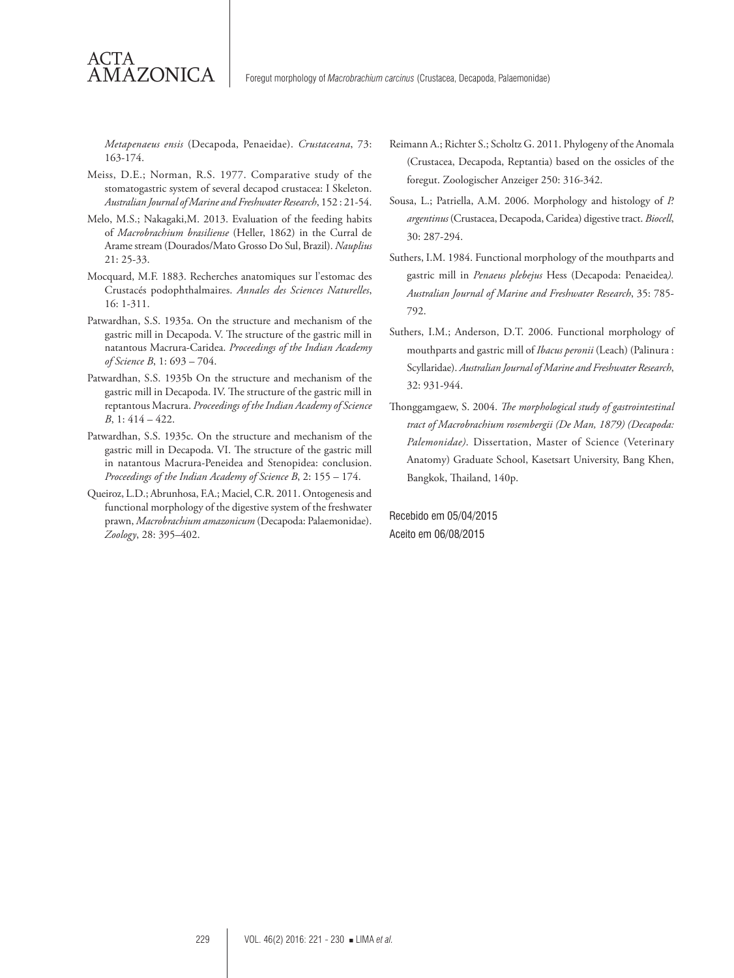*Metapenaeus ensis* (Decapoda, Penaeidae). *Crustaceana*, 73: 163-174.

Meiss, D.E.; Norman, R.S. 1977. Comparative study of the stomatogastric system of several decapod crustacea: I Skeleton. *Australian Journal of Marine and Freshwater Research*, 152 : 21-54.

ACTA

AMAZONICA

- Melo, M.S.; Nakagaki,M. 2013. Evaluation of the feeding habits of *Macrobrachium brasiliense* (Heller, 1862) in the Curral de Arame stream (Dourados/Mato Grosso Do Sul, Brazil). *Nauplius* 21: 25-33.
- Mocquard, M.F. 1883. Recherches anatomiques sur l'estomac des Crustacés podophthalmaires. *Annales des Sciences Naturelles*, 16: 1-311.
- Patwardhan, S.S. 1935a. On the structure and mechanism of the gastric mill in Decapoda. V. The structure of the gastric mill in natantous Macrura-Caridea. *Proceedings of the Indian Academy of Science B*, 1: 693 – 704.
- Patwardhan, S.S. 1935b On the structure and mechanism of the gastric mill in Decapoda. IV. The structure of the gastric mill in reptantous Macrura. *Proceedings of the Indian Academy of Science B*, 1: 414 – 422.
- Patwardhan, S.S. 1935c. On the structure and mechanism of the gastric mill in Decapoda. VI. The structure of the gastric mill in natantous Macrura-Peneidea and Stenopidea: conclusion. *Proceedings of the Indian Academy of Science B*, 2: 155 – 174.
- Queiroz, L.D.; Abrunhosa, F.A.; Maciel, C.R. 2011. Ontogenesis and functional morphology of the digestive system of the freshwater prawn, *Macrobrachium amazonicum* (Decapoda: Palaemonidae). *Zoology*, 28: 395–402.
- Reimann A.; Richter S.; Scholtz G. 2011. Phylogeny of the Anomala (Crustacea, Decapoda, Reptantia) based on the ossicles of the foregut. Zoologischer Anzeiger 250: 316-342.
- Sousa, L.; Patriella, A.M. 2006. Morphology and histology of *P. argentinus* (Crustacea, Decapoda, Caridea) digestive tract. *Biocell*, 30: 287-294.
- Suthers, I.M. 1984. Functional morphology of the mouthparts and gastric mill in *Penaeus plebejus* Hess (Decapoda: Penaeidea*). Australian Journal of Marine and Freshwater Research*, 35: 785- 792.
- Suthers, I.M.; Anderson, D.T. 2006. Functional morphology of mouthparts and gastric mill of *Ibacus peronii* (Leach) (Palinura : Scyllaridae). *Australian Journal of Marine and Freshwater Research*, 32: 931-944.
- Thonggamgaew, S. 2004. *The morphological study of gastrointestinal tract of Macrobrachium rosembergii (De Man, 1879) (Decapoda: Palemonidae)*. Dissertation, Master of Science (Veterinary Anatomy) Graduate School, Kasetsart University, Bang Khen, Bangkok, Thailand, 140p.

Recebido em 05/04/2015 Aceito em 06/08/2015